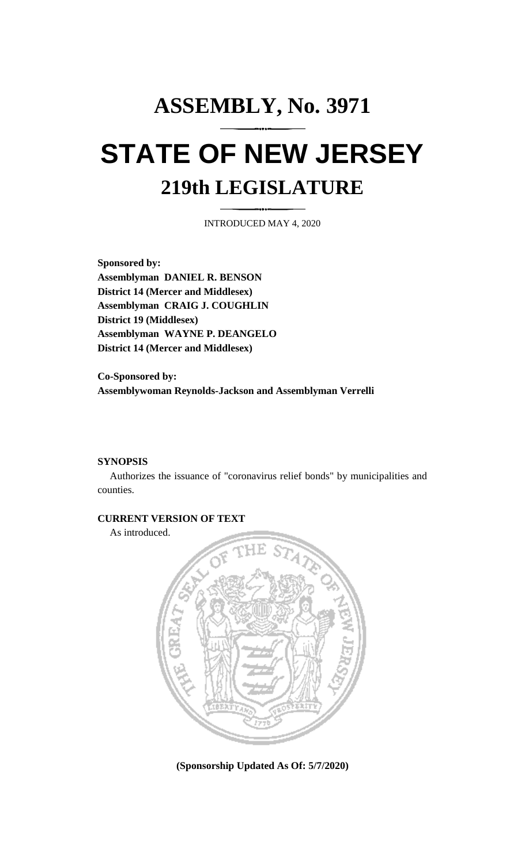# **ASSEMBLY, No. 3971 STATE OF NEW JERSEY 219th LEGISLATURE**

INTRODUCED MAY 4, 2020

**Sponsored by: Assemblyman DANIEL R. BENSON District 14 (Mercer and Middlesex) Assemblyman CRAIG J. COUGHLIN District 19 (Middlesex) Assemblyman WAYNE P. DEANGELO District 14 (Mercer and Middlesex)**

**Co-Sponsored by: Assemblywoman Reynolds-Jackson and Assemblyman Verrelli**

## **SYNOPSIS**

Authorizes the issuance of "coronavirus relief bonds" by municipalities and counties.

## **CURRENT VERSION OF TEXT**

As introduced.



**(Sponsorship Updated As Of: 5/7/2020)**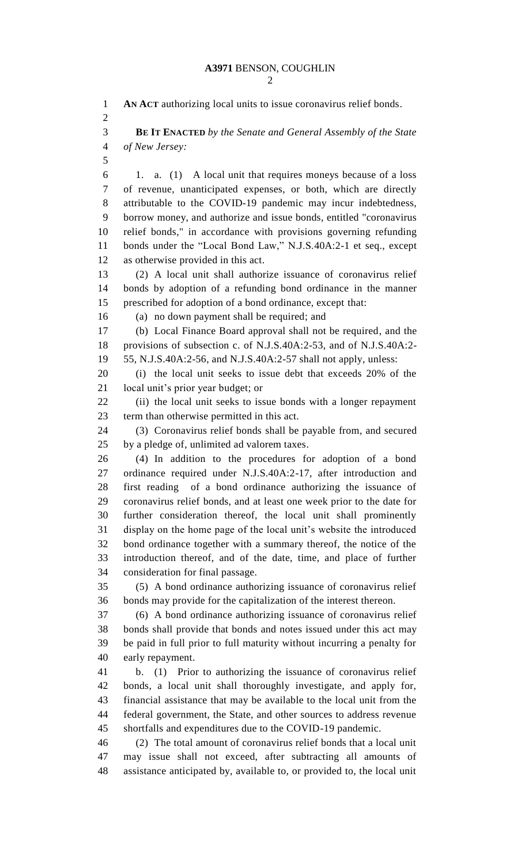**AN ACT** authorizing local units to issue coronavirus relief bonds. **BE IT ENACTED** *by the Senate and General Assembly of the State of New Jersey:* 1. a. (1) A local unit that requires moneys because of a loss of revenue, unanticipated expenses, or both, which are directly attributable to the COVID-19 pandemic may incur indebtedness, borrow money, and authorize and issue bonds, entitled "coronavirus relief bonds," in accordance with provisions governing refunding bonds under the "Local Bond Law," N.J.S.40A:2-1 et seq., except as otherwise provided in this act. (2) A local unit shall authorize issuance of coronavirus relief bonds by adoption of a refunding bond ordinance in the manner prescribed for adoption of a bond ordinance, except that: (a) no down payment shall be required; and (b) Local Finance Board approval shall not be required, and the provisions of subsection c. of N.J.S.40A:2-53, and of N.J.S.40A:2- 55, N.J.S.40A:2-56, and N.J.S.40A:2-57 shall not apply, unless: (i) the local unit seeks to issue debt that exceeds 20% of the local unit's prior year budget; or (ii) the local unit seeks to issue bonds with a longer repayment term than otherwise permitted in this act. (3) Coronavirus relief bonds shall be payable from, and secured by a pledge of, unlimited ad valorem taxes. (4) In addition to the procedures for adoption of a bond ordinance required under N.J.S.40A:2-17, after introduction and first reading of a bond ordinance authorizing the issuance of coronavirus relief bonds, and at least one week prior to the date for further consideration thereof, the local unit shall prominently display on the home page of the local unit's website the introduced bond ordinance together with a summary thereof, the notice of the introduction thereof, and of the date, time, and place of further consideration for final passage. (5) A bond ordinance authorizing issuance of coronavirus relief bonds may provide for the capitalization of the interest thereon. (6) A bond ordinance authorizing issuance of coronavirus relief bonds shall provide that bonds and notes issued under this act may be paid in full prior to full maturity without incurring a penalty for early repayment. b. (1) Prior to authorizing the issuance of coronavirus relief bonds, a local unit shall thoroughly investigate, and apply for, financial assistance that may be available to the local unit from the federal government, the State, and other sources to address revenue shortfalls and expenditures due to the COVID-19 pandemic. (2) The total amount of coronavirus relief bonds that a local unit may issue shall not exceed, after subtracting all amounts of assistance anticipated by, available to, or provided to, the local unit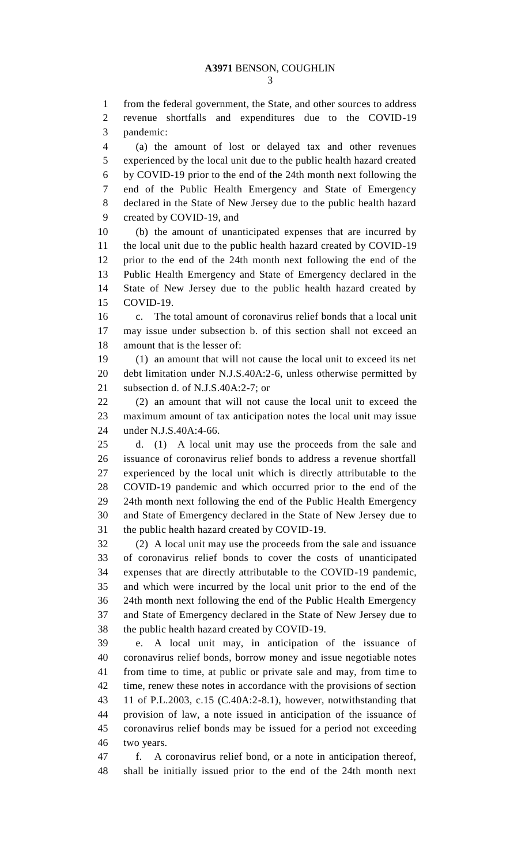from the federal government, the State, and other sources to address revenue shortfalls and expenditures due to the COVID-19 pandemic:

 (a) the amount of lost or delayed tax and other revenues experienced by the local unit due to the public health hazard created by COVID-19 prior to the end of the 24th month next following the end of the Public Health Emergency and State of Emergency declared in the State of New Jersey due to the public health hazard created by COVID-19, and

 (b) the amount of unanticipated expenses that are incurred by the local unit due to the public health hazard created by COVID-19 prior to the end of the 24th month next following the end of the Public Health Emergency and State of Emergency declared in the State of New Jersey due to the public health hazard created by COVID-19.

 c. The total amount of coronavirus relief bonds that a local unit may issue under subsection b. of this section shall not exceed an amount that is the lesser of:

 (1) an amount that will not cause the local unit to exceed its net debt limitation under N.J.S.40A:2-6, unless otherwise permitted by subsection d. of N.J.S.40A:2-7; or

 (2) an amount that will not cause the local unit to exceed the maximum amount of tax anticipation notes the local unit may issue under N.J.S.40A:4-66.

 d. (1) A local unit may use the proceeds from the sale and issuance of coronavirus relief bonds to address a revenue shortfall experienced by the local unit which is directly attributable to the COVID-19 pandemic and which occurred prior to the end of the 24th month next following the end of the Public Health Emergency and State of Emergency declared in the State of New Jersey due to the public health hazard created by COVID-19.

 (2) A local unit may use the proceeds from the sale and issuance of coronavirus relief bonds to cover the costs of unanticipated expenses that are directly attributable to the COVID-19 pandemic, and which were incurred by the local unit prior to the end of the 24th month next following the end of the Public Health Emergency and State of Emergency declared in the State of New Jersey due to the public health hazard created by COVID-19.

 e. A local unit may, in anticipation of the issuance of coronavirus relief bonds, borrow money and issue negotiable notes from time to time, at public or private sale and may, from time to time, renew these notes in accordance with the provisions of section 11 of P.L.2003, c.15 (C.40A:2-8.1), however, notwithstanding that provision of law, a note issued in anticipation of the issuance of coronavirus relief bonds may be issued for a period not exceeding two years.

 f. A coronavirus relief bond, or a note in anticipation thereof, shall be initially issued prior to the end of the 24th month next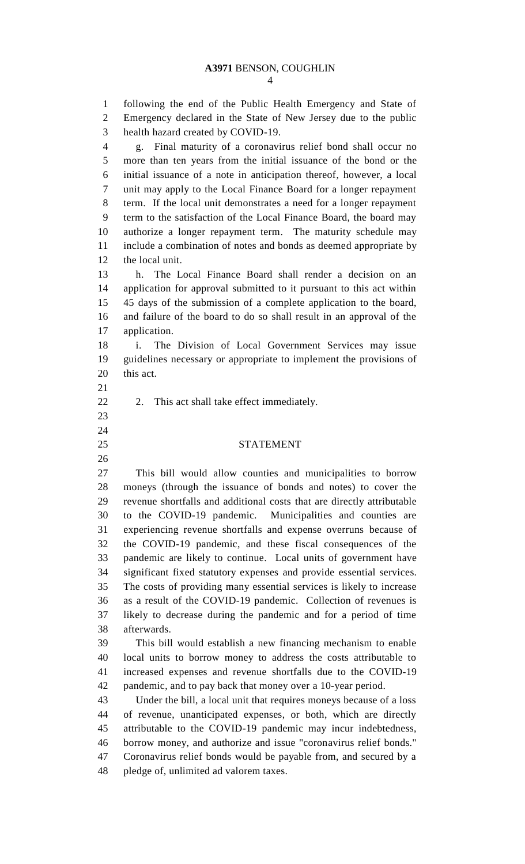### **A3971** BENSON, COUGHLIN

 following the end of the Public Health Emergency and State of Emergency declared in the State of New Jersey due to the public health hazard created by COVID-19.

 g. Final maturity of a coronavirus relief bond shall occur no more than ten years from the initial issuance of the bond or the initial issuance of a note in anticipation thereof, however, a local unit may apply to the Local Finance Board for a longer repayment term. If the local unit demonstrates a need for a longer repayment term to the satisfaction of the Local Finance Board, the board may authorize a longer repayment term. The maturity schedule may include a combination of notes and bonds as deemed appropriate by the local unit.

 h. The Local Finance Board shall render a decision on an application for approval submitted to it pursuant to this act within 45 days of the submission of a complete application to the board, and failure of the board to do so shall result in an approval of the application.

 i. The Division of Local Government Services may issue guidelines necessary or appropriate to implement the provisions of this act.

- 
- 

22 2. This act shall take effect immediately.

#### STATEMENT

 This bill would allow counties and municipalities to borrow moneys (through the issuance of bonds and notes) to cover the revenue shortfalls and additional costs that are directly attributable to the COVID-19 pandemic. Municipalities and counties are experiencing revenue shortfalls and expense overruns because of the COVID-19 pandemic, and these fiscal consequences of the pandemic are likely to continue. Local units of government have significant fixed statutory expenses and provide essential services. The costs of providing many essential services is likely to increase as a result of the COVID-19 pandemic. Collection of revenues is likely to decrease during the pandemic and for a period of time afterwards.

 This bill would establish a new financing mechanism to enable local units to borrow money to address the costs attributable to increased expenses and revenue shortfalls due to the COVID-19 pandemic, and to pay back that money over a 10-year period.

 Under the bill, a local unit that requires moneys because of a loss of revenue, unanticipated expenses, or both, which are directly attributable to the COVID-19 pandemic may incur indebtedness, borrow money, and authorize and issue "coronavirus relief bonds." Coronavirus relief bonds would be payable from, and secured by a pledge of, unlimited ad valorem taxes.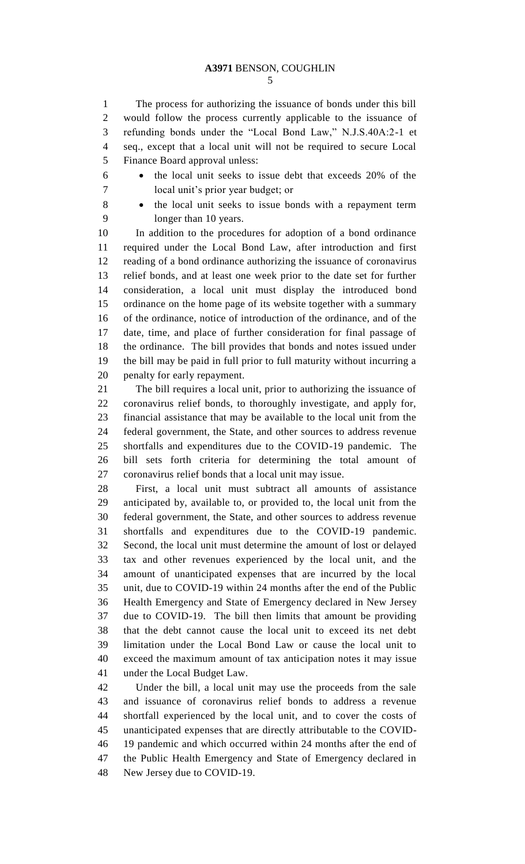### **A3971** BENSON, COUGHLIN

 The process for authorizing the issuance of bonds under this bill would follow the process currently applicable to the issuance of refunding bonds under the "Local Bond Law," N.J.S.40A:2-1 et seq., except that a local unit will not be required to secure Local Finance Board approval unless:

 the local unit seeks to issue debt that exceeds 20% of the local unit's prior year budget; or

8 • the local unit seeks to issue bonds with a repayment term longer than 10 years.

 In addition to the procedures for adoption of a bond ordinance required under the Local Bond Law, after introduction and first reading of a bond ordinance authorizing the issuance of coronavirus relief bonds, and at least one week prior to the date set for further consideration, a local unit must display the introduced bond ordinance on the home page of its website together with a summary of the ordinance, notice of introduction of the ordinance, and of the date, time, and place of further consideration for final passage of the ordinance. The bill provides that bonds and notes issued under the bill may be paid in full prior to full maturity without incurring a penalty for early repayment.

 The bill requires a local unit, prior to authorizing the issuance of coronavirus relief bonds, to thoroughly investigate, and apply for, financial assistance that may be available to the local unit from the federal government, the State, and other sources to address revenue shortfalls and expenditures due to the COVID-19 pandemic. The bill sets forth criteria for determining the total amount of coronavirus relief bonds that a local unit may issue.

 First, a local unit must subtract all amounts of assistance anticipated by, available to, or provided to, the local unit from the federal government, the State, and other sources to address revenue shortfalls and expenditures due to the COVID-19 pandemic. Second, the local unit must determine the amount of lost or delayed tax and other revenues experienced by the local unit, and the amount of unanticipated expenses that are incurred by the local unit, due to COVID-19 within 24 months after the end of the Public Health Emergency and State of Emergency declared in New Jersey due to COVID-19. The bill then limits that amount be providing that the debt cannot cause the local unit to exceed its net debt limitation under the Local Bond Law or cause the local unit to exceed the maximum amount of tax anticipation notes it may issue under the Local Budget Law.

 Under the bill, a local unit may use the proceeds from the sale and issuance of coronavirus relief bonds to address a revenue shortfall experienced by the local unit, and to cover the costs of unanticipated expenses that are directly attributable to the COVID- 19 pandemic and which occurred within 24 months after the end of the Public Health Emergency and State of Emergency declared in New Jersey due to COVID-19.